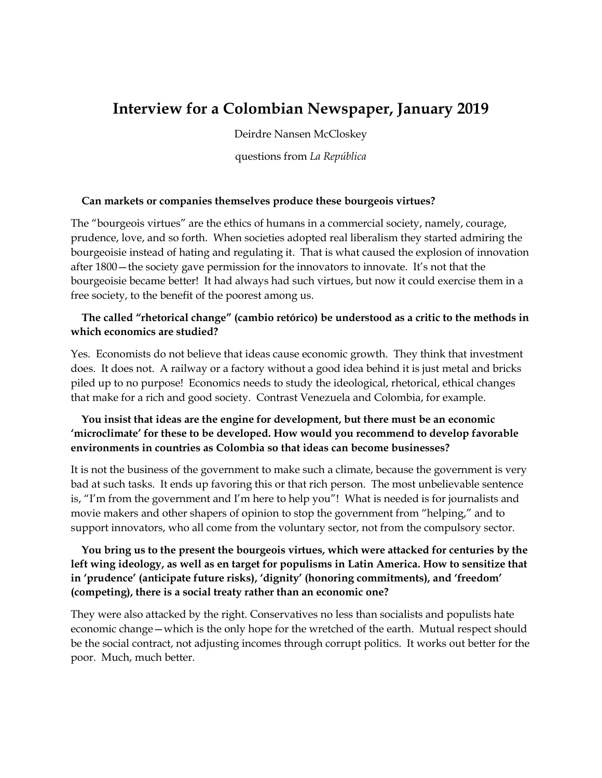# **Interview for a Colombian Newspaper, January 2019**

Deirdre Nansen McCloskey

questions from *La República*

#### **Can markets or companies themselves produce these bourgeois virtues?**

The "bourgeois virtues" are the ethics of humans in a commercial society, namely, courage, prudence, love, and so forth. When societies adopted real liberalism they started admiring the bourgeoisie instead of hating and regulating it. That is what caused the explosion of innovation after 1800—the society gave permission for the innovators to innovate. It's not that the bourgeoisie became better! It had always had such virtues, but now it could exercise them in a free society, to the benefit of the poorest among us.

#### **The called "rhetorical change" (cambio retórico) be understood as a critic to the methods in which economics are studied?**

Yes. Economists do not believe that ideas cause economic growth. They think that investment does. It does not. A railway or a factory without a good idea behind it is just metal and bricks piled up to no purpose! Economics needs to study the ideological, rhetorical, ethical changes that make for a rich and good society. Contrast Venezuela and Colombia, for example.

#### **You insist that ideas are the engine for development, but there must be an economic 'microclimate' for these to be developed. How would you recommend to develop favorable environments in countries as Colombia so that ideas can become businesses?**

It is not the business of the government to make such a climate, because the government is very bad at such tasks. It ends up favoring this or that rich person. The most unbelievable sentence is, "I'm from the government and I'm here to help you"! What is needed is for journalists and movie makers and other shapers of opinion to stop the government from "helping," and to support innovators, who all come from the voluntary sector, not from the compulsory sector.

## **You bring us to the present the bourgeois virtues, which were attacked for centuries by the left wing ideology, as well as en target for populisms in Latin America. How to sensitize that in 'prudence' (anticipate future risks), 'dignity' (honoring commitments), and 'freedom' (competing), there is a social treaty rather than an economic one?**

They were also attacked by the right. Conservatives no less than socialists and populists hate economic change—which is the only hope for the wretched of the earth. Mutual respect should be the social contract, not adjusting incomes through corrupt politics. It works out better for the poor. Much, much better.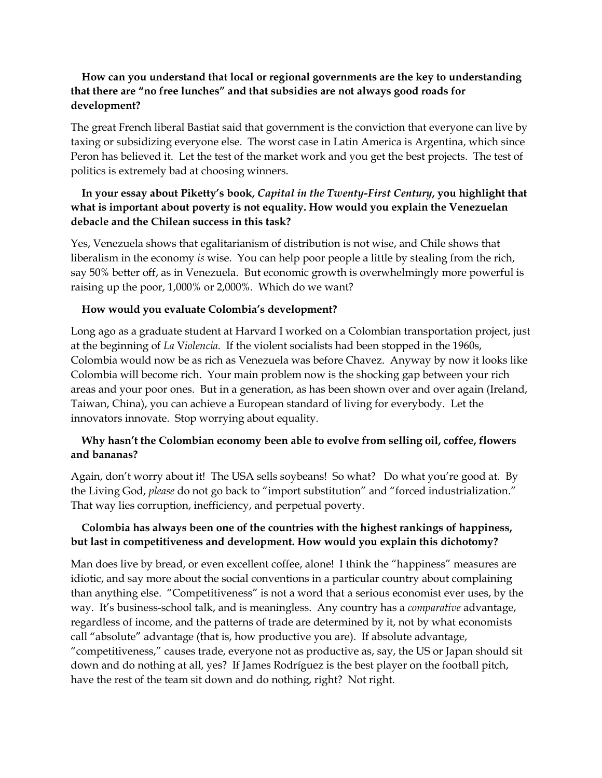## **How can you understand that local or regional governments are the key to understanding that there are "no free lunches" and that subsidies are not always good roads for development?**

The great French liberal Bastiat said that government is the conviction that everyone can live by taxing or subsidizing everyone else. The worst case in Latin America is Argentina, which since Peron has believed it. Let the test of the market work and you get the best projects. The test of politics is extremely bad at choosing winners.

# **In your essay about Piketty's book,** *Capital in the Twenty-First Century***, you highlight that what is important about poverty is not equality. How would you explain the Venezuelan debacle and the Chilean success in this task?**

Yes, Venezuela shows that egalitarianism of distribution is not wise, and Chile shows that liberalism in the economy *is* wise. You can help poor people a little by stealing from the rich, say 50% better off, as in Venezuela. But economic growth is overwhelmingly more powerful is raising up the poor, 1,000% or 2,000%. Which do we want?

#### **How would you evaluate Colombia's development?**

Long ago as a graduate student at Harvard I worked on a Colombian transportation project, just at the beginning of *La* V*iolencia.* If the violent socialists had been stopped in the 1960s, Colombia would now be as rich as Venezuela was before Chavez. Anyway by now it looks like Colombia will become rich. Your main problem now is the shocking gap between your rich areas and your poor ones. But in a generation, as has been shown over and over again (Ireland, Taiwan, China), you can achieve a European standard of living for everybody. Let the innovators innovate. Stop worrying about equality.

# **Why hasn't the Colombian economy been able to evolve from selling oil, coffee, flowers and bananas?**

Again, don't worry about it! The USA sells soybeans! So what? Do what you're good at. By the Living God, *please* do not go back to "import substitution" and "forced industrialization." That way lies corruption, inefficiency, and perpetual poverty.

## **Colombia has always been one of the countries with the highest rankings of happiness, but last in competitiveness and development. How would you explain this dichotomy?**

Man does live by bread, or even excellent coffee, alone! I think the "happiness" measures are idiotic, and say more about the social conventions in a particular country about complaining than anything else. "Competitiveness" is not a word that a serious economist ever uses, by the way. It's business-school talk, and is meaningless. Any country has a *comparative* advantage, regardless of income, and the patterns of trade are determined by it, not by what economists call "absolute" advantage (that is, how productive you are). If absolute advantage, "competitiveness," causes trade, everyone not as productive as, say, the US or Japan should sit down and do nothing at all, yes? If James Rodríguez is the best player on the football pitch, have the rest of the team sit down and do nothing, right? Not right.